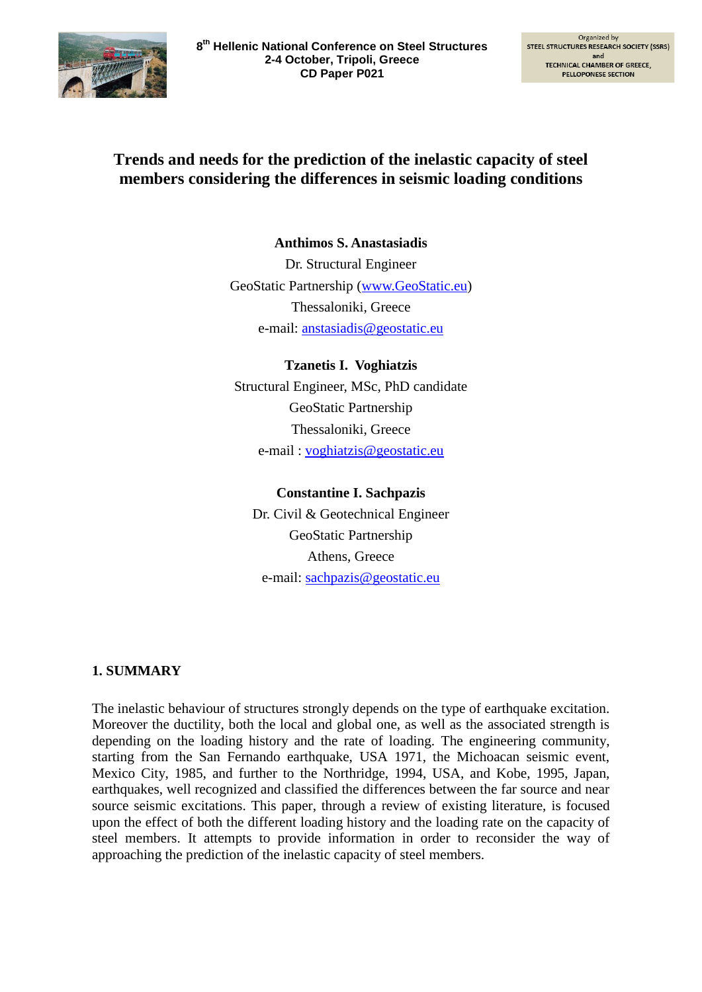

# **Trends and needs for the prediction of the inelastic capacity of steel members considering the differences in seismic loading conditions**

**Anthimos S. Anastasiadis** Dr. Structural Engineer GeoStatic Partnership [\(www.GeoStatic.eu\)](http://www.geostatic.eu/) Thessaloniki, Greece e-mail: anstasiadis@geostatic.eu

**Tzanetis I. Voghiatzis** Structural Engineer, MSc, PhD candidate GeoStatic Partnership Thessaloniki, Greece e-mail : [voghiatzis@geostatic.eu](mailto:voghiatzis@geostatic.eu)

#### **Constantine I. Sachpazis**

Dr. Civil & Geotechnical Engineer GeoStatic Partnership Athens, Greece e-mail: sachpazis@geostatic.eu

## **1. SUMMARY**

The inelastic behaviour of structures strongly depends on the type of earthquake excitation. Moreover the ductility, both the local and global one, as well as the associated strength is depending on the loading history and the rate of loading. The engineering community, starting from the San Fernando earthquake, USA 1971, the Michoacan seismic event, Mexico City, 1985, and further to the Northridge, 1994, USA, and Kobe, 1995, Japan, earthquakes, well recognized and classified the differences between the far source and near source seismic excitations. This paper, through a review of existing literature, is focused upon the effect of both the different loading history and the loading rate on the capacity of steel members. It attempts to provide information in order to reconsider the way of approaching the prediction of the inelastic capacity of steel members.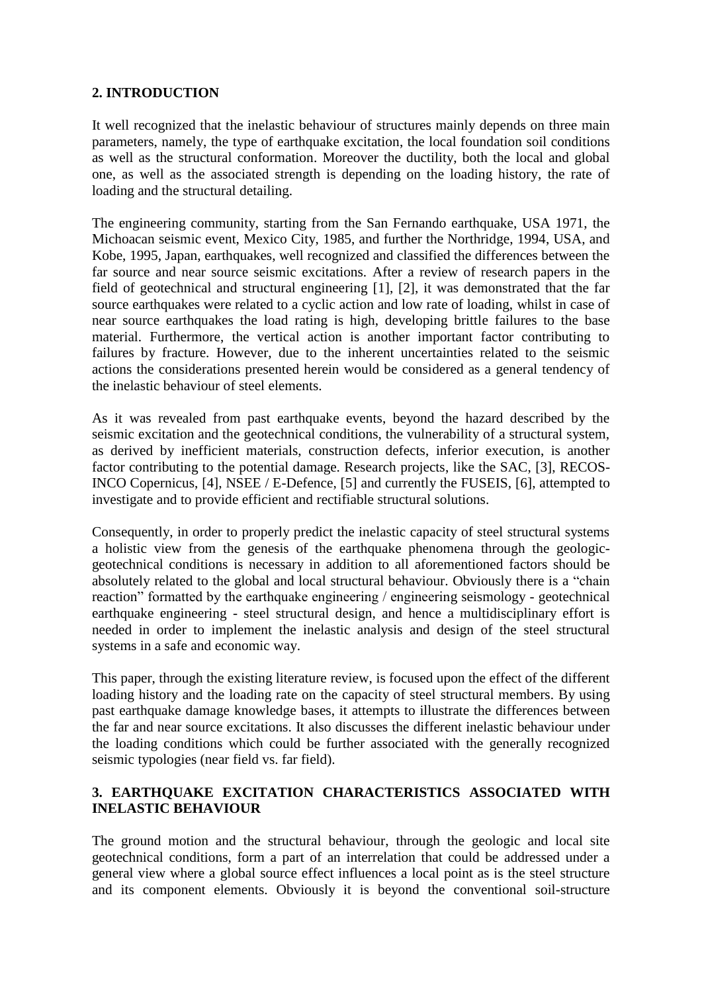## **2. INTRODUCTION**

It well recognized that the inelastic behaviour of structures mainly depends on three main parameters, namely, the type of earthquake excitation, the local foundation soil conditions as well as the structural conformation. Moreover the ductility, both the local and global one, as well as the associated strength is depending on the loading history, the rate of loading and the structural detailing.

The engineering community, starting from the San Fernando earthquake, USA 1971, the Michoacan seismic event, Mexico City, 1985, and further the Northridge, 1994, USA, and Kobe, 1995, Japan, earthquakes, well recognized and classified the differences between the far source and near source seismic excitations. After a review of research papers in the field of geotechnical and structural engineering [1], [2], it was demonstrated that the far source earthquakes were related to a cyclic action and low rate of loading, whilst in case of near source earthquakes the load rating is high, developing brittle failures to the base material. Furthermore, the vertical action is another important factor contributing to failures by fracture. However, due to the inherent uncertainties related to the seismic actions the considerations presented herein would be considered as a general tendency of the inelastic behaviour of steel elements.

As it was revealed from past earthquake events, beyond the hazard described by the seismic excitation and the geotechnical conditions, the vulnerability of a structural system, as derived by inefficient materials, construction defects, inferior execution, is another factor contributing to the potential damage. Research projects, like the SAC, [3], RECOS-INCO Copernicus, [4], NSEE / E-Defence, [5] and currently the FUSEIS, [6], attempted to investigate and to provide efficient and rectifiable structural solutions.

Consequently, in order to properly predict the inelastic capacity of steel structural systems a holistic view from the genesis of the earthquake phenomena through the geologicgeotechnical conditions is necessary in addition to all aforementioned factors should be absolutely related to the global and local structural behaviour. Obviously there is a "chain reaction" formatted by the earthquake engineering / engineering seismology - geotechnical earthquake engineering - steel structural design, and hence a multidisciplinary effort is needed in order to implement the inelastic analysis and design of the steel structural systems in a safe and economic way.

This paper, through the existing literature review, is focused upon the effect of the different loading history and the loading rate on the capacity of steel structural members. By using past earthquake damage knowledge bases, it attempts to illustrate the differences between the far and near source excitations. It also discusses the different inelastic behaviour under the loading conditions which could be further associated with the generally recognized seismic typologies (near field vs. far field).

## **3. EARTHQUAKE EXCITATION CHARACTERISTICS ASSOCIATED WITH INELASTIC BEHAVIOUR**

The ground motion and the structural behaviour, through the geologic and local site geotechnical conditions, form a part of an interrelation that could be addressed under a general view where a global source effect influences a local point as is the steel structure and its component elements. Obviously it is beyond the conventional soil-structure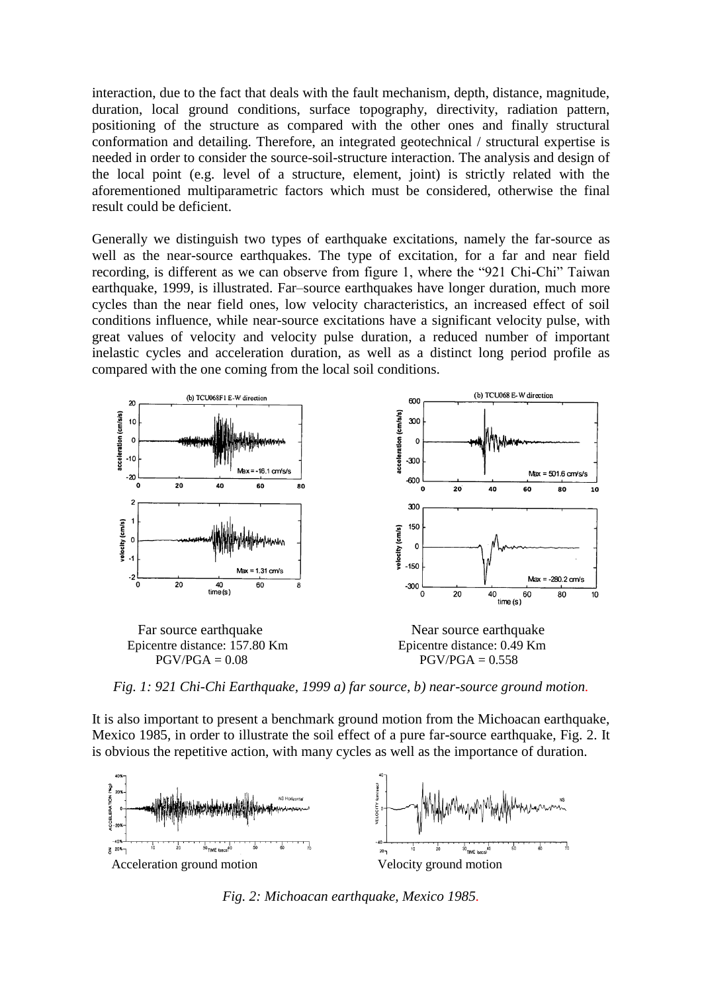interaction, due to the fact that deals with the fault mechanism, depth, distance, magnitude, duration, local ground conditions, surface topography, directivity, radiation pattern, positioning of the structure as compared with the other ones and finally structural conformation and detailing. Therefore, an integrated geotechnical / structural expertise is needed in order to consider the source-soil-structure interaction. The analysis and design of the local point (e.g. level of a structure, element, joint) is strictly related with the aforementioned multiparametric factors which must be considered, otherwise the final result could be deficient.

Generally we distinguish two types of earthquake excitations, namely the far-source as well as the near-source earthquakes. The type of excitation, for a far and near field recording, is different as we can observe from figure 1, where the "921 Chi-Chi" Taiwan earthquake, 1999, is illustrated. Far–source earthquakes have longer duration, much more cycles than the near field ones, low velocity characteristics, an increased effect of soil conditions influence, while near-source excitations have a significant velocity pulse, with great values of velocity and velocity pulse duration, a reduced number of important inelastic cycles and acceleration duration, as well as a distinct long period profile as compared with the one coming from the local soil conditions.



*Fig. 1: 921 Chi-Chi Earthquake, 1999 a) far source, b) near-source ground motion.*

It is also important to present a benchmark ground motion from the Michoacan earthquake, Mexico 1985, in order to illustrate the soil effect of a pure far-source earthquake, Fig. 2. It is obvious the repetitive action, with many cycles as well as the importance of duration.



*Fig. 2: Michoacan earthquake, Mexico 1985.*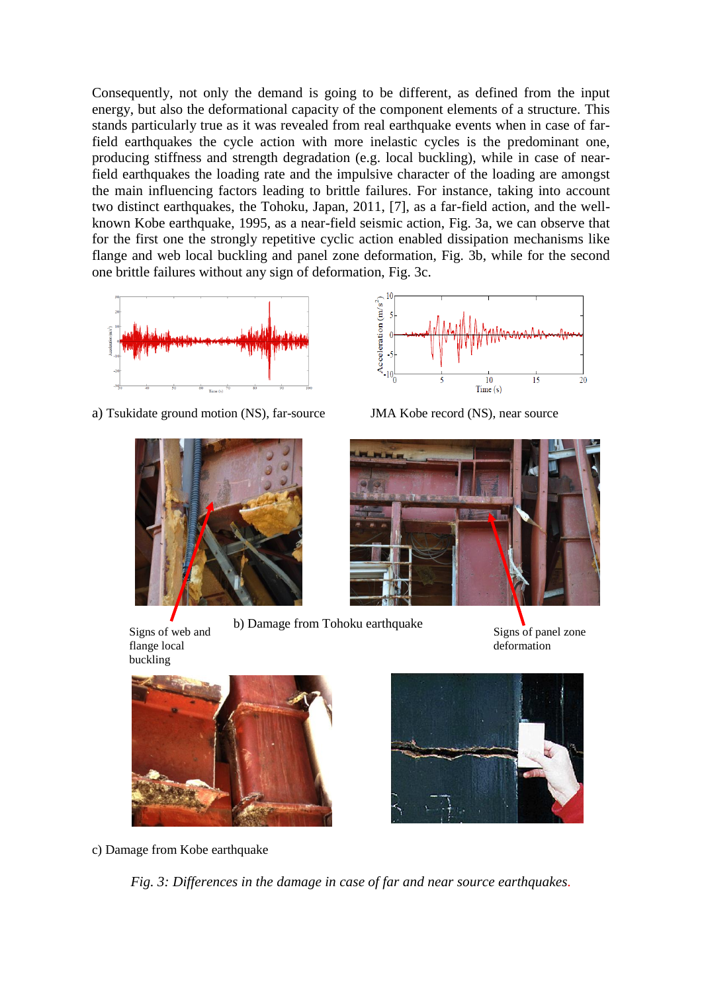Consequently, not only the demand is going to be different, as defined from the input energy, but also the deformational capacity of the component elements of a structure. This stands particularly true as it was revealed from real earthquake events when in case of farfield earthquakes the cycle action with more inelastic cycles is the predominant one, producing stiffness and strength degradation (e.g. local buckling), while in case of nearfield earthquakes the loading rate and the impulsive character of the loading are amongst the main influencing factors leading to brittle failures. For instance, taking into account two distinct earthquakes, the Tohoku, Japan, 2011, [7], as a far-field action, and the wellknown Kobe earthquake, 1995, as a near-field seismic action, Fig. 3a, we can observe that for the first one the strongly repetitive cyclic action enabled dissipation mechanisms like flange and web local buckling and panel zone deformation, Fig. 3b, while for the second one brittle failures without any sign of deformation, Fig. 3c.



a) Tsukidate ground motion (NS), far-source JMA Kobe record (NS), near source



 b) Damage from Tohoku earthquake Signs of web and flange local





Signs of panel zone deformation



c) Damage from Kobe earthquake

*Fig. 3: Differences in the damage in case of far and near source earthquakes.*

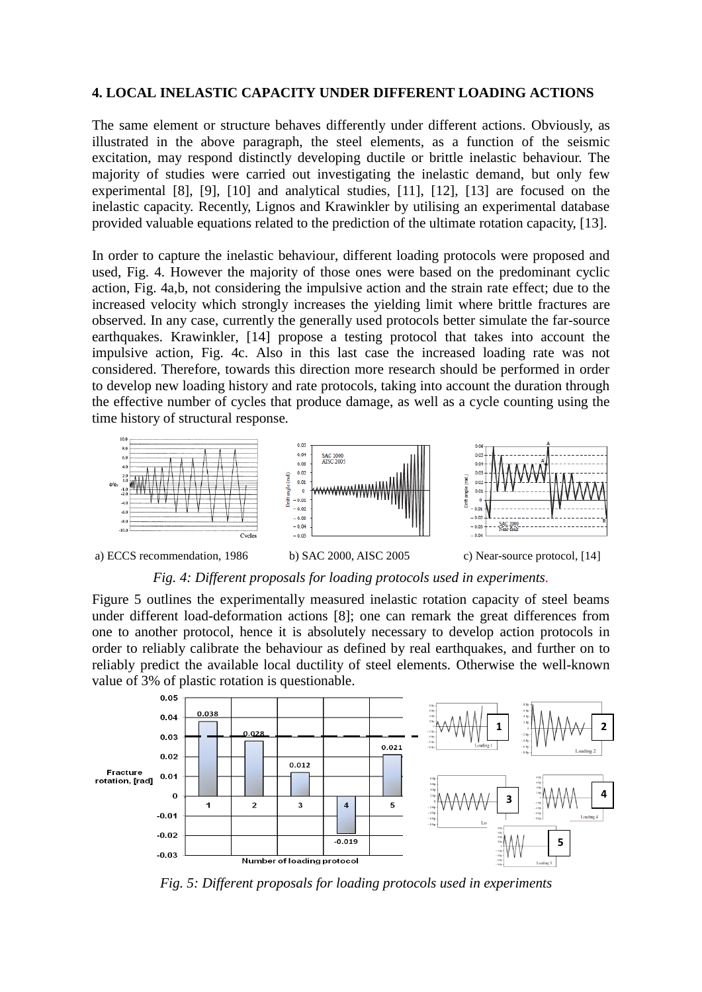#### **4. LOCAL INELASTIC CAPACITY UNDER DIFFERENT LOADING ACTIONS**

The same element or structure behaves differently under different actions. Obviously, as illustrated in the above paragraph, the steel elements, as a function of the seismic excitation, may respond distinctly developing ductile or brittle inelastic behaviour. The majority of studies were carried out investigating the inelastic demand, but only few experimental [8], [9], [10] and analytical studies, [11], [12], [13] are focused on the inelastic capacity. Recently, Lignos and Krawinkler by utilising an experimental database provided valuable equations related to the prediction of the ultimate rotation capacity, [13].

In order to capture the inelastic behaviour, different loading protocols were proposed and used, Fig. 4. However the majority of those ones were based on the predominant cyclic action, Fig. 4a,b, not considering the impulsive action and the strain rate effect; due to the increased velocity which strongly increases the yielding limit where brittle fractures are observed. In any case, currently the generally used protocols better simulate the far-source earthquakes. Krawinkler, [14] propose a testing protocol that takes into account the impulsive action, Fig. 4c. Also in this last case the increased loading rate was not considered. Therefore, towards this direction more research should be performed in order to develop new loading history and rate protocols, taking into account the duration through the effective number of cycles that produce damage, as well as a cycle counting using the time history of structural response*.*



*Fig. 4: Different proposals for loading protocols used in experiments.*

Figure 5 outlines the experimentally measured inelastic rotation capacity of steel beams under different load-deformation actions [8]; one can remark the great differences from one to another protocol, hence it is absolutely necessary to develop action protocols in order to reliably calibrate the behaviour as defined by real earthquakes, and further on to reliably predict the available local ductility of steel elements. Otherwise the well-known value of 3% of plastic rotation is questionable.



*Fig. 5: Different proposals for loading protocols used in experiments*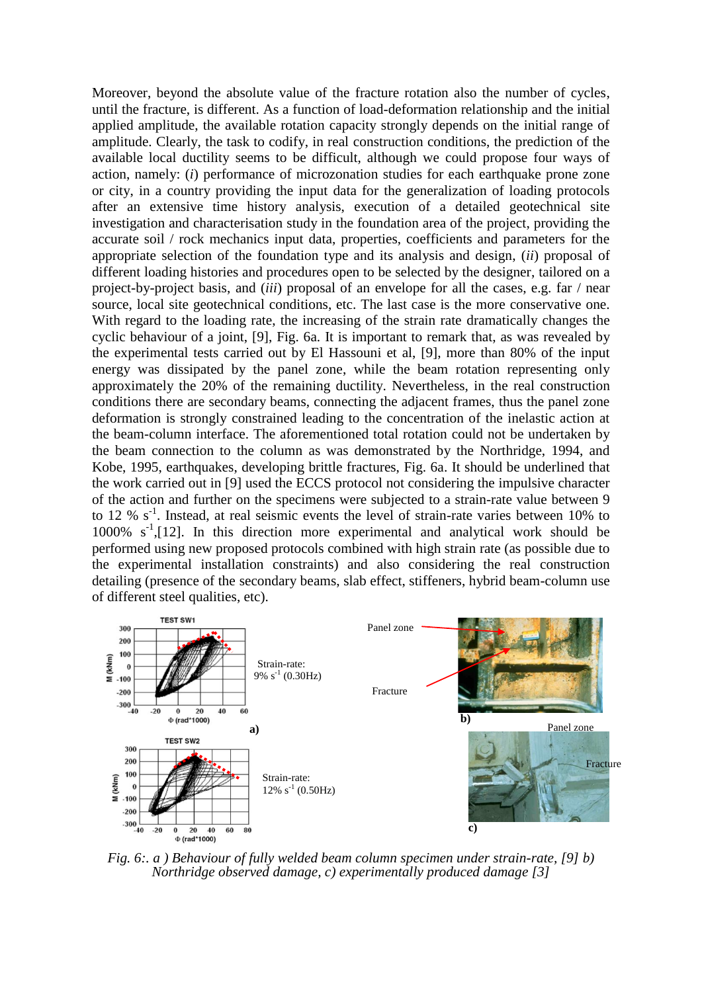Moreover, beyond the absolute value of the fracture rotation also the number of cycles, until the fracture, is different. As a function of load-deformation relationship and the initial applied amplitude, the available rotation capacity strongly depends on the initial range of amplitude. Clearly, the task to codify, in real construction conditions, the prediction of the available local ductility seems to be difficult, although we could propose four ways of action, namely: (*i*) performance of microzonation studies for each earthquake prone zone or city, in a country providing the input data for the generalization of loading protocols after an extensive time history analysis, execution of a detailed geotechnical site investigation and characterisation study in the foundation area of the project, providing the accurate soil / rock mechanics input data, properties, coefficients and parameters for the appropriate selection of the foundation type and its analysis and design, (*ii*) proposal of different loading histories and procedures open to be selected by the designer, tailored on a project-by-project basis, and (*iii*) proposal of an envelope for all the cases, e.g. far / near source, local site geotechnical conditions, etc. The last case is the more conservative one. With regard to the loading rate, the increasing of the strain rate dramatically changes the cyclic behaviour of a joint, [9], Fig. 6a. It is important to remark that, as was revealed by the experimental tests carried out by El Hassouni et al, [9], more than 80% of the input energy was dissipated by the panel zone, while the beam rotation representing only approximately the 20% of the remaining ductility. Nevertheless, in the real construction conditions there are secondary beams, connecting the adjacent frames, thus the panel zone deformation is strongly constrained leading to the concentration of the inelastic action at the beam-column interface. The aforementioned total rotation could not be undertaken by the beam connection to the column as was demonstrated by the Northridge, 1994, and Kobe, 1995, earthquakes, developing brittle fractures, Fig. 6a. It should be underlined that the work carried out in [9] used the ECCS protocol not considering the impulsive character of the action and further on the specimens were subjected to a strain-rate value between 9 to 12 %  $s^{-1}$ . Instead, at real seismic events the level of strain-rate varies between 10% to 1000%  $s^{-1}$ , [12]. In this direction more experimental and analytical work should be performed using new proposed protocols combined with high strain rate (as possible due to the experimental installation constraints) and also considering the real construction detailing (presence of the secondary beams, slab effect, stiffeners, hybrid beam-column use of different steel qualities, etc).



*Fig. 6:. a ) Behaviour of fully welded beam column specimen under strain-rate, [9] b) Northridge observed damage, c) experimentally produced damage [3]*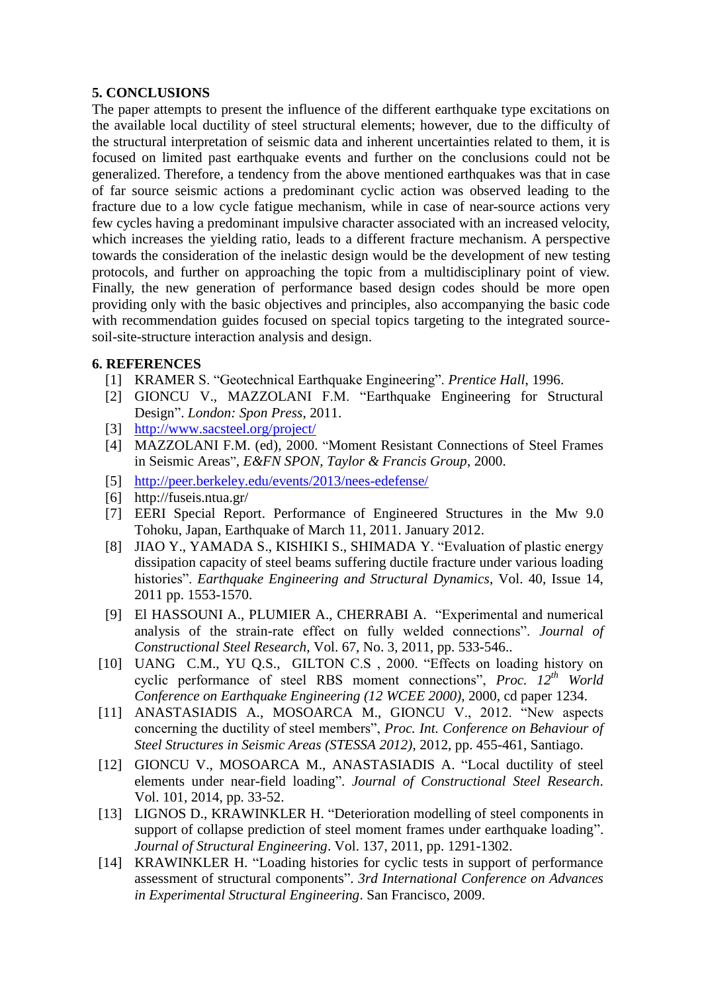## **5. CONCLUSIONS**

The paper attempts to present the influence of the different earthquake type excitations on the available local ductility of steel structural elements; however, due to the difficulty of the structural interpretation of seismic data and inherent uncertainties related to them, it is focused on limited past earthquake events and further on the conclusions could not be generalized. Therefore, a tendency from the above mentioned earthquakes was that in case of far source seismic actions a predominant cyclic action was observed leading to the fracture due to a low cycle fatigue mechanism, while in case of near-source actions very few cycles having a predominant impulsive character associated with an increased velocity, which increases the yielding ratio, leads to a different fracture mechanism. A perspective towards the consideration of the inelastic design would be the development of new testing protocols, and further on approaching the topic from a multidisciplinary point of view. Finally, the new generation of performance based design codes should be more open providing only with the basic objectives and principles, also accompanying the basic code with recommendation guides focused on special topics targeting to the integrated sourcesoil-site-structure interaction analysis and design.

## **6. REFERENCES**

- [1] KRAMER S. "Geotechnical Earthquake Engineering". *Prentice Hall*, 1996.
- [2] GIONCU V., MAZZOLANI F.M. "Earthquake Engineering for Structural Design". *London: Spon Press*, 2011.
- [3] <http://www.sacsteel.org/project/>
- [4] MAZZOLANI F.M. (ed), 2000. "Moment Resistant Connections of Steel Frames in Seismic Areas", *E&FN SPON, Taylor & Francis Group*, 2000.
- [5] <http://peer.berkeley.edu/events/2013/nees-edefense/>
- [6] http://fuseis.ntua.gr/
- [7] EERI Special Report. Performance of Engineered Structures in the Mw 9.0 Tohoku, Japan, Earthquake of March 11, 2011. January 2012.
- [8] JIAO Y., YAMADA S., KISHIKI S., SHIMADA Y. "Evaluation of plastic energy dissipation capacity of steel beams suffering ductile fracture under various loading histories". *Earthquake Engineering and Structural Dynamics*, Vol. 40, Issue 14, 2011 pp. 1553-1570.
- [9] El HASSOUNI A., PLUMIER A., CHERRABI A. "Experimental and numerical analysis of the strain-rate effect on fully welded connections". *Journal of Constructional Steel Research*, Vol. 67, No. 3, 2011, pp. 533-546..
- [10] UANG C.M., YU Q.S., GILTON C.S , 2000. "Effects on loading history on cyclic performance of steel RBS moment connections", *Proc. 12th World Conference on Earthquake Engineering (12 WCEE 2000)*, 2000, cd paper 1234.
- [11] ANASTASIADIS A., MOSOARCA M., GIONCU V., 2012. "New aspects concerning the ductility of steel members", *Proc. Int. Conference on Behaviour of Steel Structures in Seismic Areas (STESSA 2012)*, 2012, pp. 455-461, Santiago.
- [12] GIONCU V., MOSOARCA M., ANASTASIADIS A. "Local ductility of steel elements under near-field loading". *Journal of Constructional Steel Research*. Vol. 101, 2014, pp. 33-52.
- [13] LIGNOS D., KRAWINKLER H. "Deterioration modelling of steel components in support of collapse prediction of steel moment frames under earthquake loading". *Journal of Structural Engineering*. Vol. 137, 2011, pp. 1291-1302.
- [14] KRAWINKLER H. "Loading histories for cyclic tests in support of performance assessment of structural components". *3rd International Conference on Advances in Experimental Structural Engineering*. San Francisco, 2009.